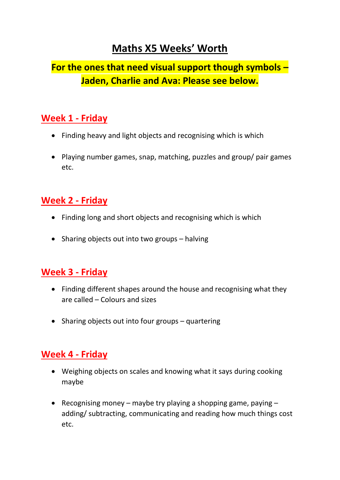# **Maths X5 Weeks' Worth**

## **For the ones that need visual support though symbols – Jaden, Charlie and Ava: Please see below.**

#### **Week 1 - Friday**

- Finding heavy and light objects and recognising which is which
- Playing number games, snap, matching, puzzles and group/ pair games etc.

### **Week 2 - Friday**

- Finding long and short objects and recognising which is which
- Sharing objects out into two groups halving

### **Week 3 - Friday**

- Finding different shapes around the house and recognising what they are called – Colours and sizes
- Sharing objects out into four groups quartering

## **Week 4 - Friday**

- Weighing objects on scales and knowing what it says during cooking maybe
- Recognising money maybe try playing a shopping game, paying  $$ adding/ subtracting, communicating and reading how much things cost etc.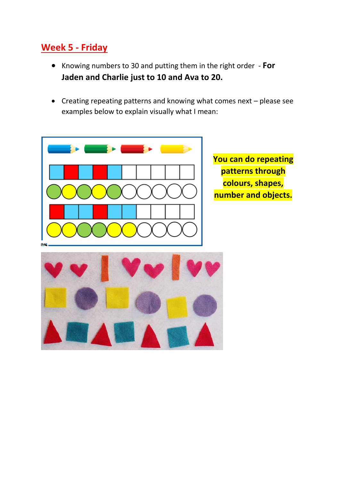### **Week 5 - Friday**

- Knowing numbers to 30 and putting them in the right order **For Jaden and Charlie just to 10 and Ava to 20.**
- Creating repeating patterns and knowing what comes next please see examples below to explain visually what I mean:



**You can do repeating patterns through colours, shapes, number and objects.**

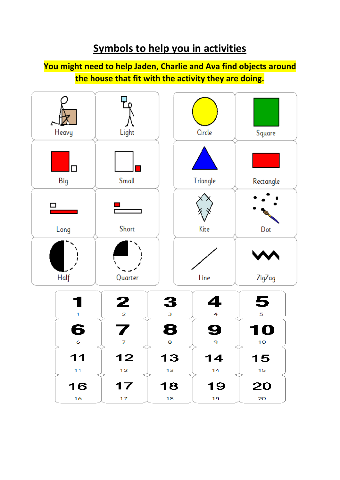# **Symbols to help you in activities**

#### **You might need to help Jaden, Charlie and Ava find objects around the house that fit with the activity they are doing.**